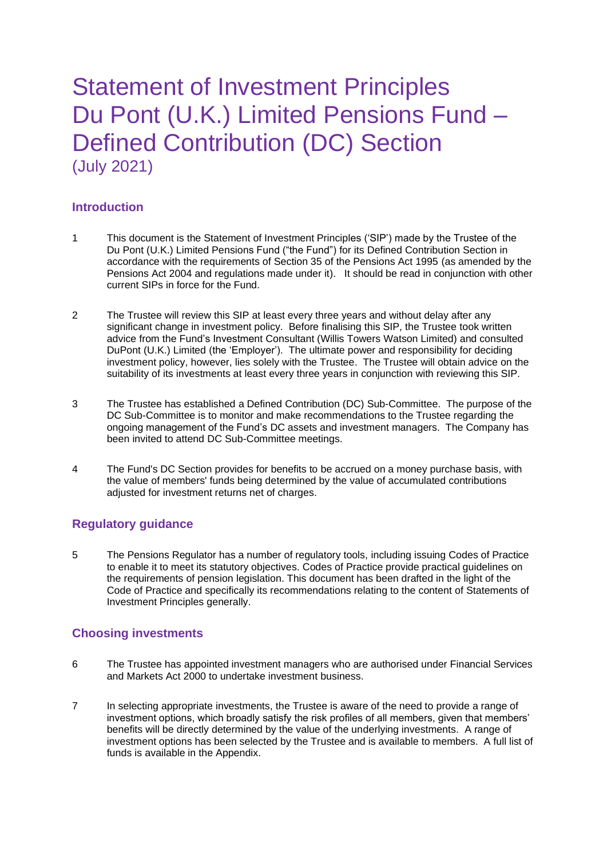## Statement of Investment Principles Du Pont (U.K.) Limited Pensions Fund – Defined Contribution (DC) Section (July 2021)

## **Introduction**

- 1 This document is the Statement of Investment Principles ('SIP') made by the Trustee of the Du Pont (U.K.) Limited Pensions Fund ("the Fund") for its Defined Contribution Section in accordance with the requirements of Section 35 of the Pensions Act 1995 (as amended by the Pensions Act 2004 and regulations made under it). It should be read in conjunction with other current SIPs in force for the Fund.
- 2 The Trustee will review this SIP at least every three years and without delay after any significant change in investment policy. Before finalising this SIP, the Trustee took written advice from the Fund's Investment Consultant (Willis Towers Watson Limited) and consulted DuPont (U.K.) Limited (the 'Employer'). The ultimate power and responsibility for deciding investment policy, however, lies solely with the Trustee. The Trustee will obtain advice on the suitability of its investments at least every three years in conjunction with reviewing this SIP.
- 3 The Trustee has established a Defined Contribution (DC) Sub-Committee. The purpose of the DC Sub-Committee is to monitor and make recommendations to the Trustee regarding the ongoing management of the Fund's DC assets and investment managers. The Company has been invited to attend DC Sub-Committee meetings.
- 4 The Fund's DC Section provides for benefits to be accrued on a money purchase basis, with the value of members' funds being determined by the value of accumulated contributions adjusted for investment returns net of charges.

## **Regulatory guidance**

5 The Pensions Regulator has a number of regulatory tools, including issuing Codes of Practice to enable it to meet its statutory objectives. Codes of Practice provide practical guidelines on the requirements of pension legislation. This document has been drafted in the light of the Code of Practice and specifically its recommendations relating to the content of Statements of Investment Principles generally.

## **Choosing investments**

- 6 The Trustee has appointed investment managers who are authorised under Financial Services and Markets Act 2000 to undertake investment business.
- 7 In selecting appropriate investments, the Trustee is aware of the need to provide a range of investment options, which broadly satisfy the risk profiles of all members, given that members' benefits will be directly determined by the value of the underlying investments. A range of investment options has been selected by the Trustee and is available to members. A full list of funds is available in the Appendix.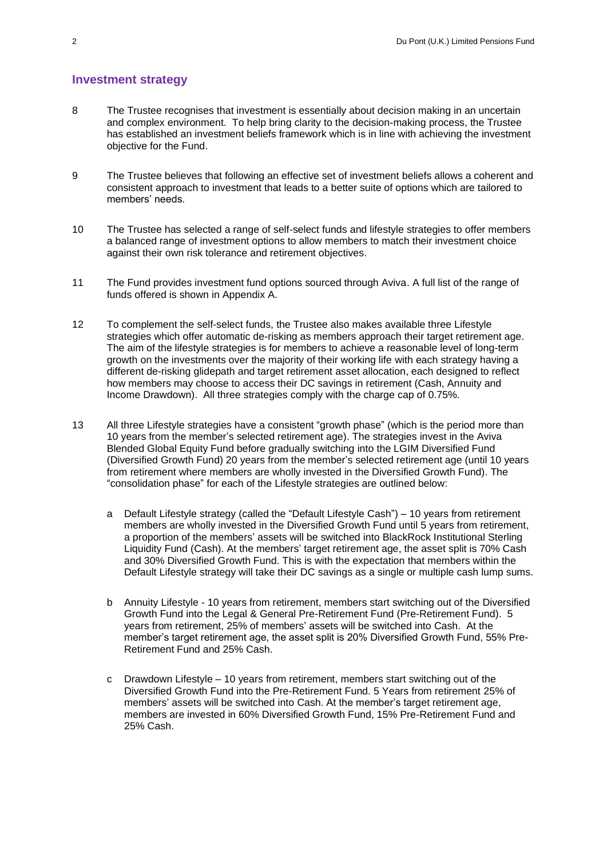#### **Investment strategy**

- 8 The Trustee recognises that investment is essentially about decision making in an uncertain and complex environment. To help bring clarity to the decision-making process, the Trustee has established an investment beliefs framework which is in line with achieving the investment objective for the Fund.
- 9 The Trustee believes that following an effective set of investment beliefs allows a coherent and consistent approach to investment that leads to a better suite of options which are tailored to members' needs.
- 10 The Trustee has selected a range of self-select funds and lifestyle strategies to offer members a balanced range of investment options to allow members to match their investment choice against their own risk tolerance and retirement objectives.
- 11 The Fund provides investment fund options sourced through Aviva. A full list of the range of funds offered is shown in Appendix A.
- 12 To complement the self-select funds, the Trustee also makes available three Lifestyle strategies which offer automatic de-risking as members approach their target retirement age. The aim of the lifestyle strategies is for members to achieve a reasonable level of long-term growth on the investments over the majority of their working life with each strategy having a different de-risking glidepath and target retirement asset allocation, each designed to reflect how members may choose to access their DC savings in retirement (Cash, Annuity and Income Drawdown). All three strategies comply with the charge cap of 0.75%.
- 13 All three Lifestyle strategies have a consistent "growth phase" (which is the period more than 10 years from the member's selected retirement age). The strategies invest in the Aviva Blended Global Equity Fund before gradually switching into the LGIM Diversified Fund (Diversified Growth Fund) 20 years from the member's selected retirement age (until 10 years from retirement where members are wholly invested in the Diversified Growth Fund). The "consolidation phase" for each of the Lifestyle strategies are outlined below:
	- a Default Lifestyle strategy (called the "Default Lifestyle Cash") 10 years from retirement members are wholly invested in the Diversified Growth Fund until 5 years from retirement, a proportion of the members' assets will be switched into BlackRock Institutional Sterling Liquidity Fund (Cash). At the members' target retirement age, the asset split is 70% Cash and 30% Diversified Growth Fund. This is with the expectation that members within the Default Lifestyle strategy will take their DC savings as a single or multiple cash lump sums.
	- b Annuity Lifestyle 10 years from retirement, members start switching out of the Diversified Growth Fund into the Legal & General Pre-Retirement Fund (Pre-Retirement Fund). 5 years from retirement, 25% of members' assets will be switched into Cash. At the member's target retirement age, the asset split is 20% Diversified Growth Fund, 55% Pre-Retirement Fund and 25% Cash.
	- c Drawdown Lifestyle 10 years from retirement, members start switching out of the Diversified Growth Fund into the Pre-Retirement Fund. 5 Years from retirement 25% of members' assets will be switched into Cash. At the member's target retirement age, members are invested in 60% Diversified Growth Fund, 15% Pre-Retirement Fund and 25% Cash.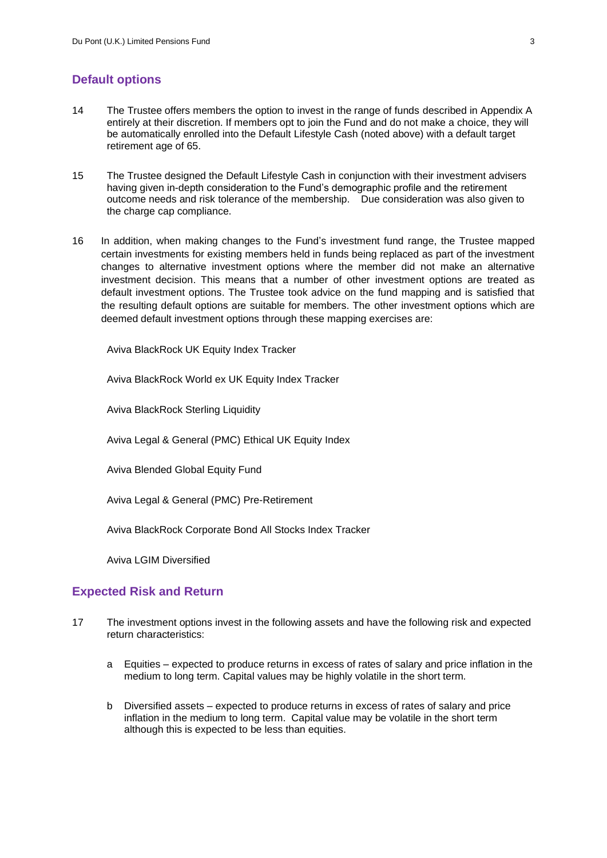#### **Default options**

- 14 The Trustee offers members the option to invest in the range of funds described in Appendix A entirely at their discretion. If members opt to join the Fund and do not make a choice, they will be automatically enrolled into the Default Lifestyle Cash (noted above) with a default target retirement age of 65.
- 15 The Trustee designed the Default Lifestyle Cash in conjunction with their investment advisers having given in-depth consideration to the Fund's demographic profile and the retirement outcome needs and risk tolerance of the membership. Due consideration was also given to the charge cap compliance.
- 16 In addition, when making changes to the Fund's investment fund range, the Trustee mapped certain investments for existing members held in funds being replaced as part of the investment changes to alternative investment options where the member did not make an alternative investment decision. This means that a number of other investment options are treated as default investment options. The Trustee took advice on the fund mapping and is satisfied that the resulting default options are suitable for members. The other investment options which are deemed default investment options through these mapping exercises are:

Aviva BlackRock UK Equity Index Tracker

Aviva BlackRock World ex UK Equity Index Tracker

Aviva BlackRock Sterling Liquidity

Aviva Legal & General (PMC) Ethical UK Equity Index

Aviva Blended Global Equity Fund

Aviva Legal & General (PMC) Pre-Retirement

Aviva BlackRock Corporate Bond All Stocks Index Tracker

Aviva LGIM Diversified

#### **Expected Risk and Return**

- 17 The investment options invest in the following assets and have the following risk and expected return characteristics:
	- a Equities expected to produce returns in excess of rates of salary and price inflation in the medium to long term. Capital values may be highly volatile in the short term.
	- b Diversified assets expected to produce returns in excess of rates of salary and price inflation in the medium to long term. Capital value may be volatile in the short term although this is expected to be less than equities.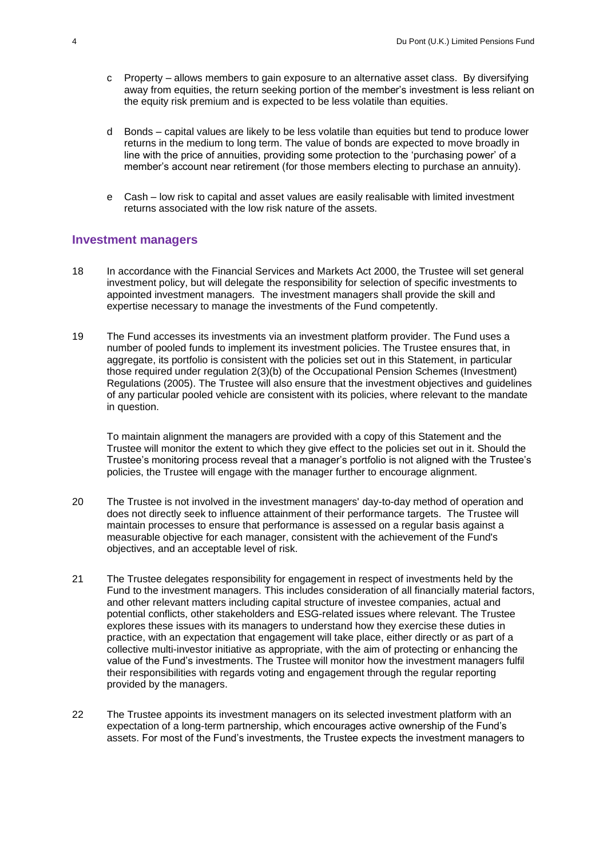- c Property allows members to gain exposure to an alternative asset class. By diversifying away from equities, the return seeking portion of the member's investment is less reliant on the equity risk premium and is expected to be less volatile than equities.
- d Bonds capital values are likely to be less volatile than equities but tend to produce lower returns in the medium to long term. The value of bonds are expected to move broadly in line with the price of annuities, providing some protection to the 'purchasing power' of a member's account near retirement (for those members electing to purchase an annuity).
- e Cash low risk to capital and asset values are easily realisable with limited investment returns associated with the low risk nature of the assets.

#### **Investment managers**

- 18 In accordance with the Financial Services and Markets Act 2000, the Trustee will set general investment policy, but will delegate the responsibility for selection of specific investments to appointed investment managers. The investment managers shall provide the skill and expertise necessary to manage the investments of the Fund competently.
- 19 The Fund accesses its investments via an investment platform provider. The Fund uses a number of pooled funds to implement its investment policies. The Trustee ensures that, in aggregate, its portfolio is consistent with the policies set out in this Statement, in particular those required under regulation 2(3)(b) of the Occupational Pension Schemes (Investment) Regulations (2005). The Trustee will also ensure that the investment objectives and guidelines of any particular pooled vehicle are consistent with its policies, where relevant to the mandate in question.

To maintain alignment the managers are provided with a copy of this Statement and the Trustee will monitor the extent to which they give effect to the policies set out in it. Should the Trustee's monitoring process reveal that a manager's portfolio is not aligned with the Trustee's policies, the Trustee will engage with the manager further to encourage alignment.

- 20 The Trustee is not involved in the investment managers' day-to-day method of operation and does not directly seek to influence attainment of their performance targets. The Trustee will maintain processes to ensure that performance is assessed on a regular basis against a measurable objective for each manager, consistent with the achievement of the Fund's objectives, and an acceptable level of risk.
- 21 The Trustee delegates responsibility for engagement in respect of investments held by the Fund to the investment managers. This includes consideration of all financially material factors, and other relevant matters including capital structure of investee companies, actual and potential conflicts, other stakeholders and ESG-related issues where relevant. The Trustee explores these issues with its managers to understand how they exercise these duties in practice, with an expectation that engagement will take place, either directly or as part of a collective multi-investor initiative as appropriate, with the aim of protecting or enhancing the value of the Fund's investments. The Trustee will monitor how the investment managers fulfil their responsibilities with regards voting and engagement through the regular reporting provided by the managers.
- 22 The Trustee appoints its investment managers on its selected investment platform with an expectation of a long-term partnership, which encourages active ownership of the Fund's assets. For most of the Fund's investments, the Trustee expects the investment managers to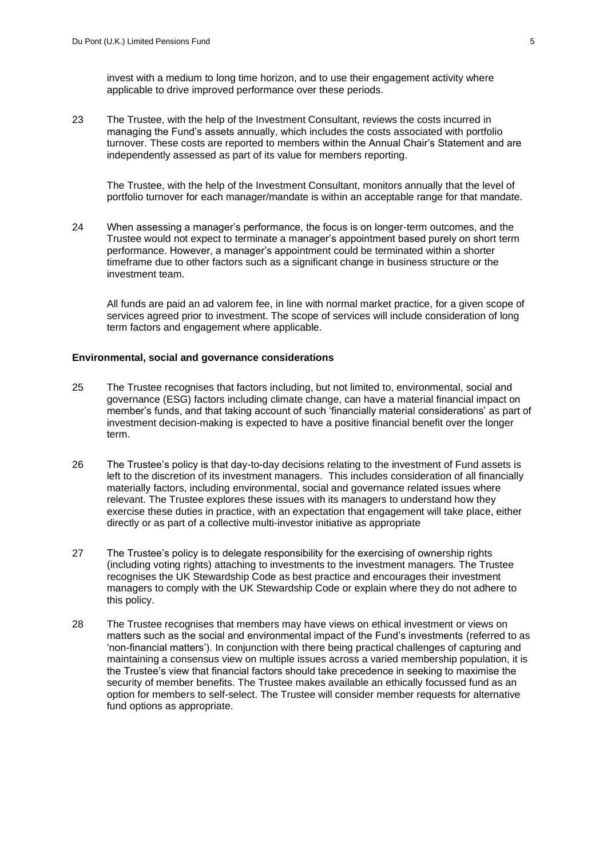invest with a medium to long time horizon, and to use their engagement activity where applicable to drive improved performance over these periods.

23 The Trustee, with the help of the Investment Consultant, reviews the costs incurred in managing the Fund's assets annually, which includes the costs associated with portfolio turnover. These costs are reported to members within the Annual Chair's Statement and are independently assessed as part of its value for members reporting.

The Trustee, with the help of the Investment Consultant, monitors annually that the level of portfolio turnover for each manager/mandate is within an acceptable range for that mandate.

24 When assessing a manager's performance, the focus is on longer-term outcomes, and the Trustee would not expect to terminate a manager's appointment based purely on short term performance. However, a manager's appointment could be terminated within a shorter timeframe due to other factors such as a significant change in business structure or the investment team.

All funds are paid an ad valorem fee, in line with normal market practice, for a given scope of services agreed prior to investment. The scope of services will include consideration of long term factors and engagement where applicable.

#### **Environmental, social and governance considerations**

- 25 The Trustee recognises that factors including, but not limited to, environmental, social and governance (ESG) factors including climate change, can have a material financial impact on member's funds, and that taking account of such 'financially material considerations' as part of investment decision-making is expected to have a positive financial benefit over the longer term.
- 26 The Trustee's policy is that day-to-day decisions relating to the investment of Fund assets is left to the discretion of its investment managers. This includes consideration of all financially materially factors, including environmental, social and governance related issues where relevant. The Trustee explores these issues with its managers to understand how they exercise these duties in practice, with an expectation that engagement will take place, either directly or as part of a collective multi-investor initiative as appropriate
- 27 The Trustee's policy is to delegate responsibility for the exercising of ownership rights (including voting rights) attaching to investments to the investment managers. The Trustee recognises the UK Stewardship Code as best practice and encourages their investment managers to comply with the UK Stewardship Code or explain where they do not adhere to this policy.
- 28 The Trustee recognises that members may have views on ethical investment or views on matters such as the social and environmental impact of the Fund's investments (referred to as 'non-financial matters'). In conjunction with there being practical challenges of capturing and maintaining a consensus view on multiple issues across a varied membership population, it is the Trustee's view that financial factors should take precedence in seeking to maximise the security of member benefits. The Trustee makes available an ethically focussed fund as an option for members to self-select. The Trustee will consider member requests for alternative fund options as appropriate.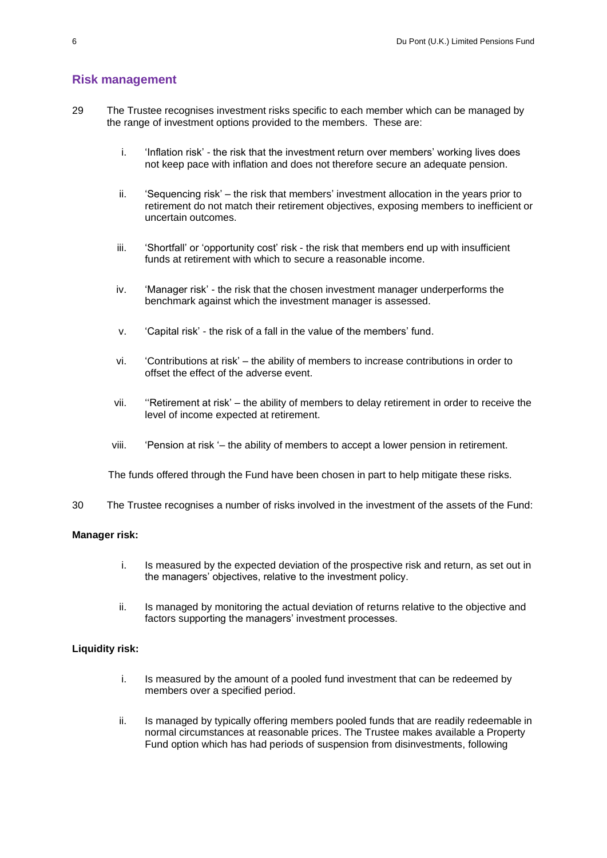#### **Risk management**

- 29 The Trustee recognises investment risks specific to each member which can be managed by the range of investment options provided to the members. These are:
	- i. 'Inflation risk' the risk that the investment return over members' working lives does not keep pace with inflation and does not therefore secure an adequate pension.
	- ii. 'Sequencing risk' the risk that members' investment allocation in the years prior to retirement do not match their retirement objectives, exposing members to inefficient or uncertain outcomes.
	- iii. 'Shortfall' or 'opportunity cost' risk the risk that members end up with insufficient funds at retirement with which to secure a reasonable income.
	- iv. 'Manager risk' the risk that the chosen investment manager underperforms the benchmark against which the investment manager is assessed.
	- v. 'Capital risk' the risk of a fall in the value of the members' fund.
	- vi. 'Contributions at risk' the ability of members to increase contributions in order to offset the effect of the adverse event.
	- level of income expected at retirement. vii. ''Retirement at risk' – the ability of members to delay retirement in order to receive the
	- viii. 'Pension at risk '– the ability of members to accept a lower pension in retirement.

The funds offered through the Fund have been chosen in part to help mitigate these risks.

30 The Trustee recognises a number of risks involved in the investment of the assets of the Fund:

#### **Manager risk:**

- i. Is measured by the expected deviation of the prospective risk and return, as set out in the managers' objectives, relative to the investment policy.
- ii. Is managed by monitoring the actual deviation of returns relative to the objective and factors supporting the managers' investment processes.

#### **Liquidity risk:**

- i. Is measured by the amount of a pooled fund investment that can be redeemed by members over a specified period.
- ii. Is managed by typically offering members pooled funds that are readily redeemable in normal circumstances at reasonable prices. The Trustee makes available a Property Fund option which has had periods of suspension from disinvestments, following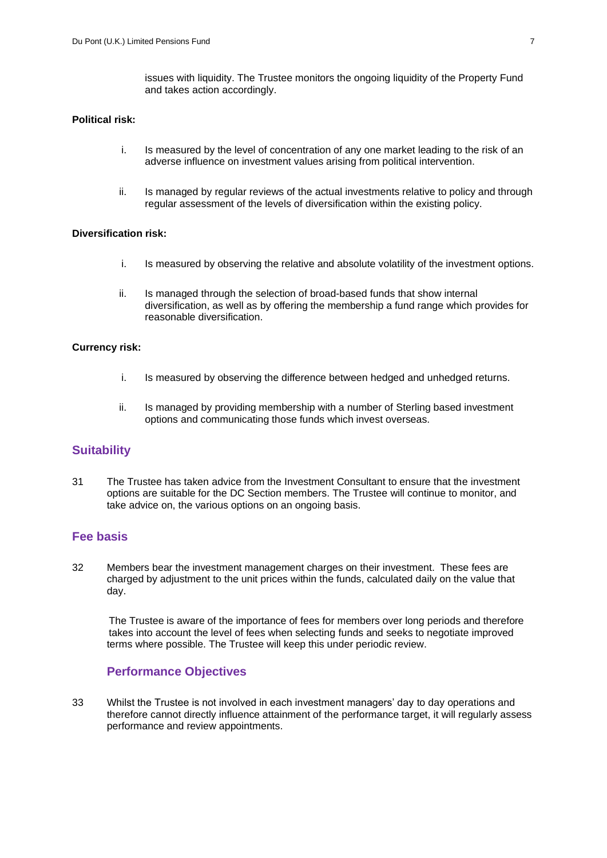issues with liquidity. The Trustee monitors the ongoing liquidity of the Property Fund and takes action accordingly.

#### **Political risk:**

- i. Is measured by the level of concentration of any one market leading to the risk of an adverse influence on investment values arising from political intervention.
- ii. Is managed by regular reviews of the actual investments relative to policy and through regular assessment of the levels of diversification within the existing policy.

#### **Diversification risk:**

- i. Is measured by observing the relative and absolute volatility of the investment options.
- ii. Is managed through the selection of broad-based funds that show internal diversification, as well as by offering the membership a fund range which provides for reasonable diversification.

#### **Currency risk:**

- i. Is measured by observing the difference between hedged and unhedged returns.
- ii. Is managed by providing membership with a number of Sterling based investment options and communicating those funds which invest overseas.

#### **Suitability**

31 The Trustee has taken advice from the Investment Consultant to ensure that the investment options are suitable for the DC Section members. The Trustee will continue to monitor, and take advice on, the various options on an ongoing basis.

#### **Fee basis**

32 Members bear the investment management charges on their investment. These fees are charged by adjustment to the unit prices within the funds, calculated daily on the value that day.

The Trustee is aware of the importance of fees for members over long periods and therefore takes into account the level of fees when selecting funds and seeks to negotiate improved terms where possible. The Trustee will keep this under periodic review.

#### **Performance Objectives**

33 Whilst the Trustee is not involved in each investment managers' day to day operations and therefore cannot directly influence attainment of the performance target, it will regularly assess performance and review appointments.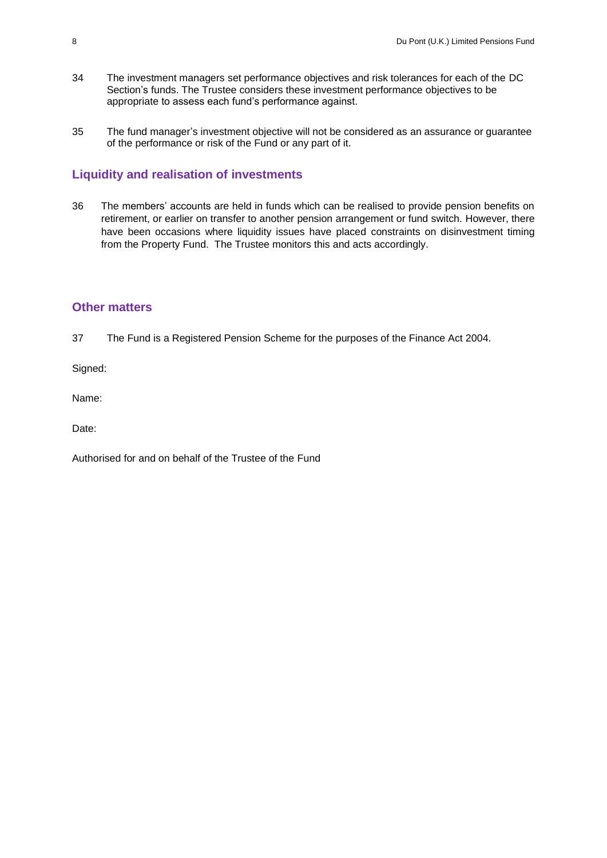- 34 The investment managers set performance objectives and risk tolerances for each of the DC Section's funds. The Trustee considers these investment performance objectives to be appropriate to assess each fund's performance against.
- 35 The fund manager's investment objective will not be considered as an assurance or guarantee of the performance or risk of the Fund or any part of it.

#### **Liquidity and realisation of investments**

36 The members' accounts are held in funds which can be realised to provide pension benefits on retirement, or earlier on transfer to another pension arrangement or fund switch. However, there have been occasions where liquidity issues have placed constraints on disinvestment timing from the Property Fund. The Trustee monitors this and acts accordingly.

#### **Other matters**

37 The Fund is a Registered Pension Scheme for the purposes of the Finance Act 2004.

Signed:

Name:

Date:

Authorised for and on behalf of the Trustee of the Fund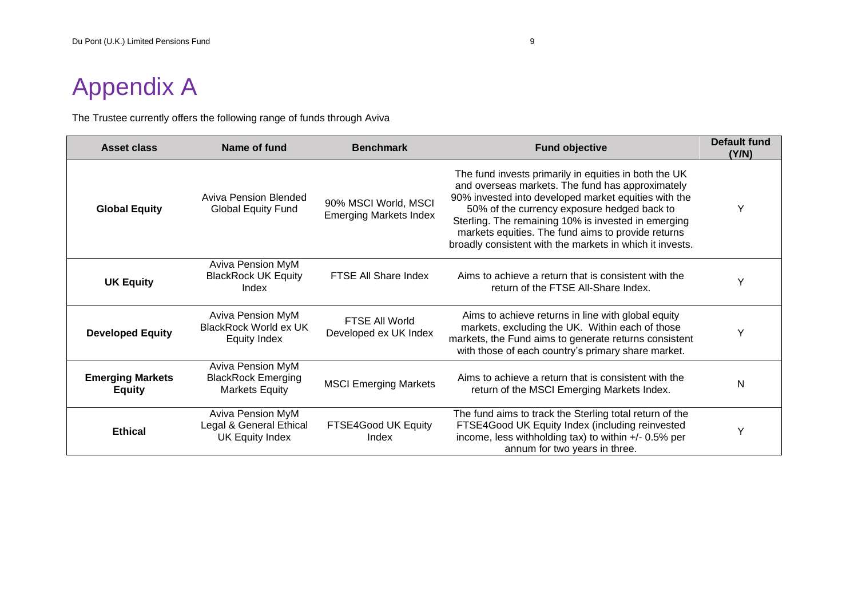# Appendix A

The Trustee currently offers the following range of funds through Aviva

| <b>Asset class</b>                       | Name of fund                                                                   | <b>Benchmark</b>                                      | <b>Fund objective</b>                                                                                                                                                                                                                                                                                                                                                                     | Default fund<br>(Y/N) |
|------------------------------------------|--------------------------------------------------------------------------------|-------------------------------------------------------|-------------------------------------------------------------------------------------------------------------------------------------------------------------------------------------------------------------------------------------------------------------------------------------------------------------------------------------------------------------------------------------------|-----------------------|
| <b>Global Equity</b>                     | <b>Aviva Pension Blended</b><br><b>Global Equity Fund</b>                      | 90% MSCI World, MSCI<br><b>Emerging Markets Index</b> | The fund invests primarily in equities in both the UK<br>and overseas markets. The fund has approximately<br>90% invested into developed market equities with the<br>50% of the currency exposure hedged back to<br>Sterling. The remaining 10% is invested in emerging<br>markets equities. The fund aims to provide returns<br>broadly consistent with the markets in which it invests. |                       |
| <b>UK Equity</b>                         | <b>Aviva Pension MyM</b><br><b>BlackRock UK Equity</b><br>Index                | FTSE All Share Index                                  | Aims to achieve a return that is consistent with the<br>return of the FTSE All-Share Index.                                                                                                                                                                                                                                                                                               |                       |
| <b>Developed Equity</b>                  | <b>Aviva Pension MyM</b><br><b>BlackRock World ex UK</b><br>Equity Index       | <b>FTSE All World</b><br>Developed ex UK Index        | Aims to achieve returns in line with global equity<br>markets, excluding the UK. Within each of those<br>markets, the Fund aims to generate returns consistent<br>with those of each country's primary share market.                                                                                                                                                                      | Υ                     |
| <b>Emerging Markets</b><br><b>Equity</b> | <b>Aviva Pension MyM</b><br><b>BlackRock Emerging</b><br><b>Markets Equity</b> | <b>MSCI Emerging Markets</b>                          | Aims to achieve a return that is consistent with the<br>return of the MSCI Emerging Markets Index.                                                                                                                                                                                                                                                                                        | N                     |
| <b>Ethical</b>                           | Aviva Pension MyM<br>Legal & General Ethical<br>UK Equity Index                | FTSE4Good UK Equity<br>Index                          | The fund aims to track the Sterling total return of the<br>FTSE4Good UK Equity Index (including reinvested<br>income, less withholding tax) to within +/- 0.5% per<br>annum for two years in three.                                                                                                                                                                                       |                       |